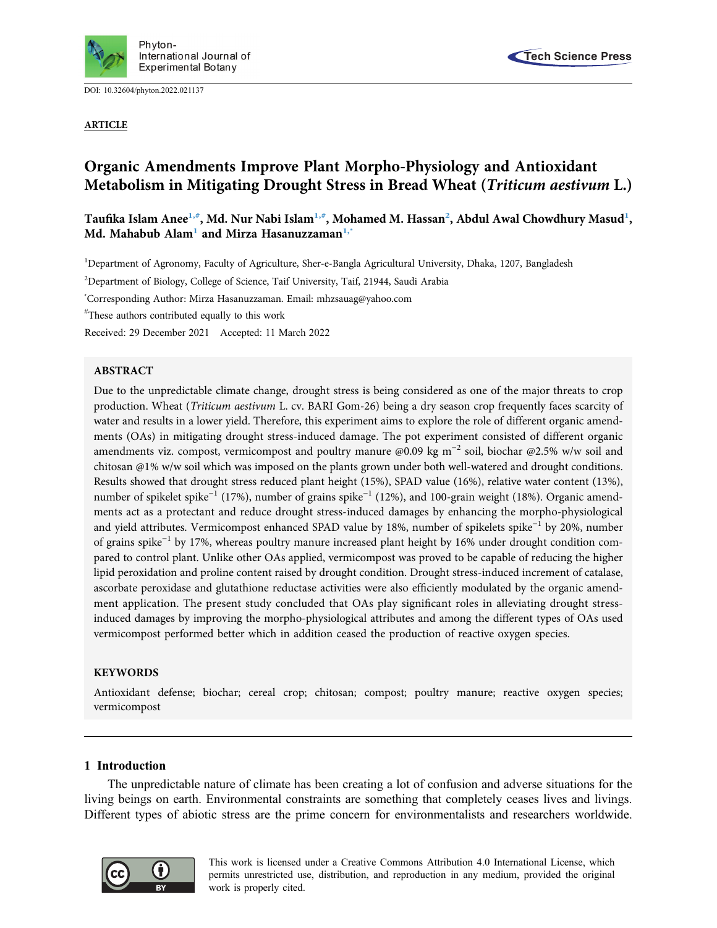

DOI: [10.32604/phyton.2022.021137](http://dx.doi.org/10.32604/phyton.2022.021137)

ARTICLE



# Organic Amendments Improve Plant Morpho-Physiology and Antioxidant Metabolism in Mitigating Drought Stress in Bread Wheat (Triticum aestivum L.)

Taufika Islam Anee<sup>[1,](#page-0-0)[#](#page-0-1)</sup>, Md. Nur Nabi Islam<sup>1,#</sup>, Mohamed M. Hassan<sup>2</sup>, Abdul Awal Chowdhury Masud<sup>1</sup>, Md. Mahabub Alam<sup>1</sup> and Mirza Hasanuzzaman<sup>[1,](#page-0-0)[\\*](#page-0-3)</sup>

<span id="page-0-0"></span><sup>1</sup>Department of Agronomy, Faculty of Agriculture, Sher-e-Bangla Agricultural University, Dhaka, 1207, Bangladesh

<span id="page-0-2"></span><sup>2</sup>Department of Biology, College of Science, Taif University, Taif, 21944, Saudi Arabia

<span id="page-0-3"></span>\* Corresponding Author: Mirza Hasanuzzaman. Email: [mhzsauag@yahoo.com](mailto:mhzsauag@yahoo.com)

<span id="page-0-1"></span># These authors contributed equally to this work

Received: 29 December 2021 Accepted: 11 March 2022

# ABSTRACT

Due to the unpredictable climate change, drought stress is being considered as one of the major threats to crop production. Wheat (Triticum aestivum L. cv. BARI Gom-26) being a dry season crop frequently faces scarcity of water and results in a lower yield. Therefore, this experiment aims to explore the role of different organic amendments (OAs) in mitigating drought stress-induced damage. The pot experiment consisted of different organic amendments viz. compost, vermicompost and poultry manure @0.09 kg m−<sup>2</sup> soil, biochar @2.5% w/w soil and chitosan @1% w/w soil which was imposed on the plants grown under both well-watered and drought conditions. Results showed that drought stress reduced plant height (15%), SPAD value (16%), relative water content (13%), number of spikelet spike<sup>-1</sup> (17%), number of grains spike<sup>-1</sup> (12%), and 100-grain weight (18%). Organic amendments act as a protectant and reduce drought stress-induced damages by enhancing the morpho-physiological and yield attributes. Vermicompost enhanced SPAD value by 18%, number of spikelets spike−<sup>1</sup> by 20%, number of grains spike−<sup>1</sup> by 17%, whereas poultry manure increased plant height by 16% under drought condition compared to control plant. Unlike other OAs applied, vermicompost was proved to be capable of reducing the higher lipid peroxidation and proline content raised by drought condition. Drought stress-induced increment of catalase, ascorbate peroxidase and glutathione reductase activities were also efficiently modulated by the organic amendment application. The present study concluded that OAs play significant roles in alleviating drought stressinduced damages by improving the morpho-physiological attributes and among the different types of OAs used vermicompost performed better which in addition ceased the production of reactive oxygen species.

# KEYWORDS

Antioxidant defense; biochar; cereal crop; chitosan; compost; poultry manure; reactive oxygen species; vermicompost

# 1 Introduction

The unpredictable nature of climate has been creating a lot of confusion and adverse situations for the living beings on earth. Environmental constraints are something that completely ceases lives and livings. Different types of abiotic stress are the prime concern for environmentalists and researchers worldwide.

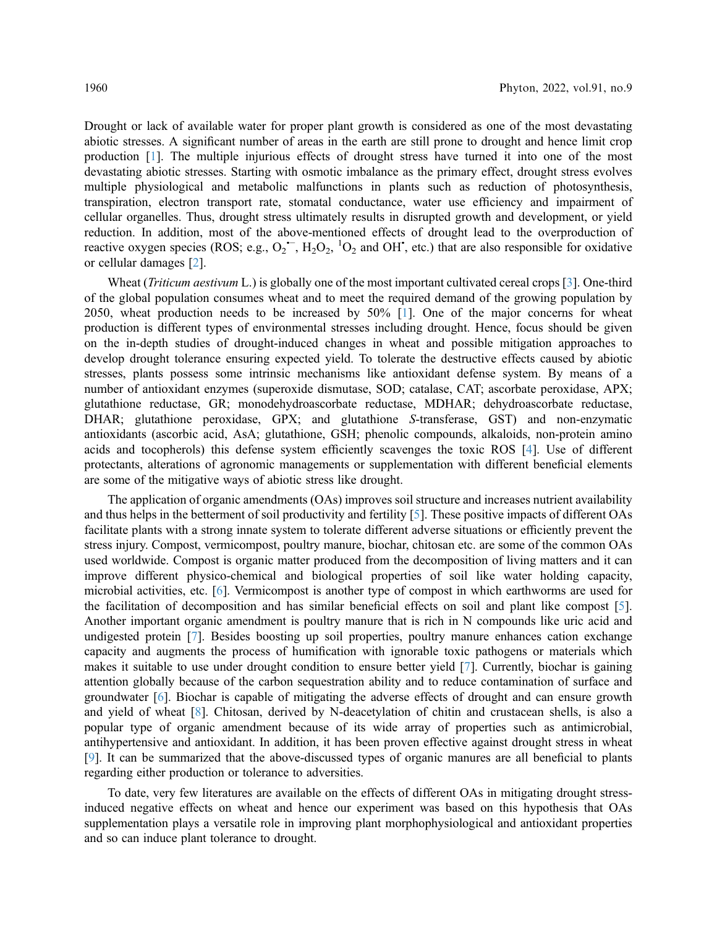Drought or lack of available water for proper plant growth is considered as one of the most devastating abiotic stresses. A significant number of areas in the earth are still prone to drought and hence limit crop production [\[1\]](#page-10-0). The multiple injurious effects of drought stress have turned it into one of the most devastating abiotic stresses. Starting with osmotic imbalance as the primary effect, drought stress evolves multiple physiological and metabolic malfunctions in plants such as reduction of photosynthesis, transpiration, electron transport rate, stomatal conductance, water use efficiency and impairment of cellular organelles. Thus, drought stress ultimately results in disrupted growth and development, or yield reduction. In addition, most of the above-mentioned effects of drought lead to the overproduction of reactive oxygen species (ROS; e.g.,  $O_2$ <sup>-</sup>,  $H_2O_2$ , <sup>1</sup>O<sub>2</sub> and OH<sup>•</sup>, etc.) that are also responsible for oxidative or cellular damages [[2](#page-10-1)].

Wheat (*Triticum aestivum* L.) is globally one of the most important cultivated cereal crops [[3](#page-10-2)]. One-third of the global population consumes wheat and to meet the required demand of the growing population by 2050, wheat production needs to be increased by 50% [\[1\]](#page-10-0). One of the major concerns for wheat production is different types of environmental stresses including drought. Hence, focus should be given on the in-depth studies of drought-induced changes in wheat and possible mitigation approaches to develop drought tolerance ensuring expected yield. To tolerate the destructive effects caused by abiotic stresses, plants possess some intrinsic mechanisms like antioxidant defense system. By means of a number of antioxidant enzymes (superoxide dismutase, SOD; catalase, CAT; ascorbate peroxidase, APX; glutathione reductase, GR; monodehydroascorbate reductase, MDHAR; dehydroascorbate reductase, DHAR; glutathione peroxidase, GPX; and glutathione S-transferase, GST) and non-enzymatic antioxidants (ascorbic acid, AsA; glutathione, GSH; phenolic compounds, alkaloids, non-protein amino acids and tocopherols) this defense system efficiently scavenges the toxic ROS [\[4\]](#page-10-3). Use of different protectants, alterations of agronomic managements or supplementation with different beneficial elements are some of the mitigative ways of abiotic stress like drought.

The application of organic amendments (OAs) improves soil structure and increases nutrient availability and thus helps in the betterment of soil productivity and fertility [\[5\]](#page-10-4). These positive impacts of different OAs facilitate plants with a strong innate system to tolerate different adverse situations or efficiently prevent the stress injury. Compost, vermicompost, poultry manure, biochar, chitosan etc. are some of the common OAs used worldwide. Compost is organic matter produced from the decomposition of living matters and it can improve different physico-chemical and biological properties of soil like water holding capacity, microbial activities, etc. [[6](#page-10-5)]. Vermicompost is another type of compost in which earthworms are used for the facilitation of decomposition and has similar beneficial effects on soil and plant like compost [\[5\]](#page-10-4). Another important organic amendment is poultry manure that is rich in N compounds like uric acid and undigested protein [\[7\]](#page-10-6). Besides boosting up soil properties, poultry manure enhances cation exchange capacity and augments the process of humification with ignorable toxic pathogens or materials which makes it suitable to use under drought condition to ensure better yield [[7\]](#page-10-6). Currently, biochar is gaining attention globally because of the carbon sequestration ability and to reduce contamination of surface and groundwater [[6](#page-10-5)]. Biochar is capable of mitigating the adverse effects of drought and can ensure growth and yield of wheat [[8](#page-10-7)]. Chitosan, derived by N-deacetylation of chitin and crustacean shells, is also a popular type of organic amendment because of its wide array of properties such as antimicrobial, antihypertensive and antioxidant. In addition, it has been proven effective against drought stress in wheat [[9](#page-10-8)]. It can be summarized that the above-discussed types of organic manures are all beneficial to plants regarding either production or tolerance to adversities.

To date, very few literatures are available on the effects of different OAs in mitigating drought stressinduced negative effects on wheat and hence our experiment was based on this hypothesis that OAs supplementation plays a versatile role in improving plant morphophysiological and antioxidant properties and so can induce plant tolerance to drought.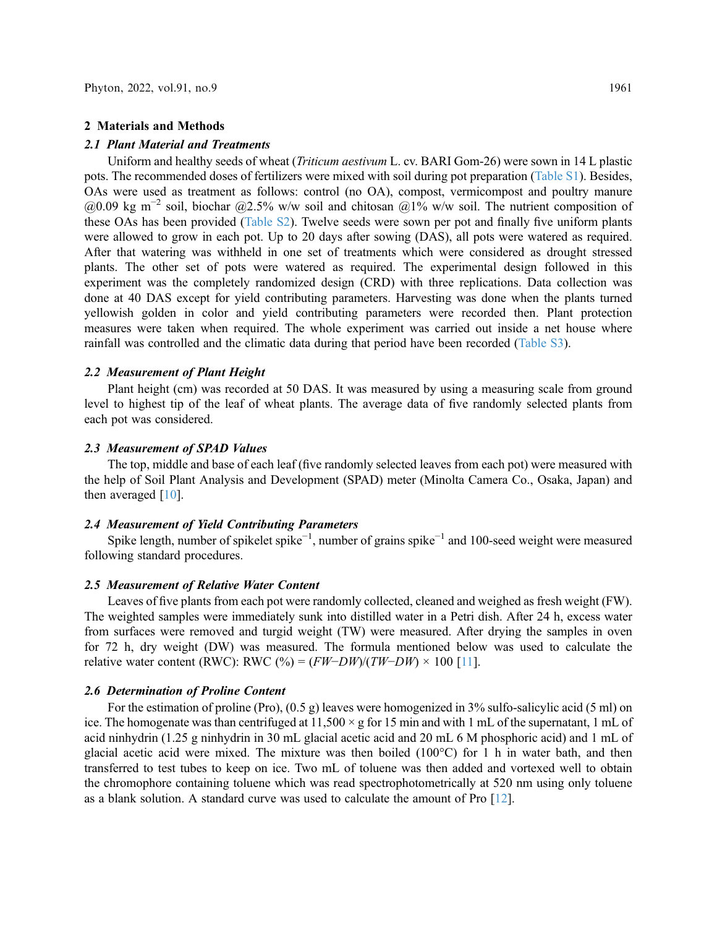#### 2 Materials and Methods

#### 2.1 Plant Material and Treatments

Uniform and healthy seeds of wheat (Triticum aestivum L. cv. BARI Gom-26) were sown in 14 L plastic pots. The recommended doses of fertilizers were mixed with soil during pot preparation ([Table S1\)](#page-12-0). Besides, OAs were used as treatment as follows: control (no OA), compost, vermicompost and poultry manure @0.09 kg m<sup>-2</sup> soil, biochar @2.5% w/w soil and chitosan @1% w/w soil. The nutrient composition of these OAs has been provided ([Table S2\)](#page-12-1). Twelve seeds were sown per pot and finally five uniform plants were allowed to grow in each pot. Up to 20 days after sowing (DAS), all pots were watered as required. After that watering was withheld in one set of treatments which were considered as drought stressed plants. The other set of pots were watered as required. The experimental design followed in this experiment was the completely randomized design (CRD) with three replications. Data collection was done at 40 DAS except for yield contributing parameters. Harvesting was done when the plants turned yellowish golden in color and yield contributing parameters were recorded then. Plant protection measures were taken when required. The whole experiment was carried out inside a net house where rainfall was controlled and the climatic data during that period have been recorded ([Table S3\)](#page-12-2).

### 2.2 Measurement of Plant Height

Plant height (cm) was recorded at 50 DAS. It was measured by using a measuring scale from ground level to highest tip of the leaf of wheat plants. The average data of five randomly selected plants from each pot was considered.

#### 2.3 Measurement of SPAD Values

The top, middle and base of each leaf (five randomly selected leaves from each pot) were measured with the help of Soil Plant Analysis and Development (SPAD) meter (Minolta Camera Co., Osaka, Japan) and then averaged [[10\]](#page-11-0).

# 2.4 Measurement of Yield Contributing Parameters

Spike length, number of spikelet spike−<sup>1</sup> , number of grains spike−<sup>1</sup> and 100-seed weight were measured following standard procedures.

## 2.5 Measurement of Relative Water Content

Leaves of five plants from each pot were randomly collected, cleaned and weighed as fresh weight (FW). The weighted samples were immediately sunk into distilled water in a Petri dish. After 24 h, excess water from surfaces were removed and turgid weight (TW) were measured. After drying the samples in oven for 72 h, dry weight (DW) was measured. The formula mentioned below was used to calculate the relative water content (RWC): RWC (%) =  $(FW-DW)/(TW-DW) \times 100$  [[11](#page-11-1)].

# 2.6 Determination of Proline Content

For the estimation of proline (Pro),  $(0.5 \text{ g})$  leaves were homogenized in 3% sulfo-salicylic acid (5 ml) on ice. The homogenate was than centrifuged at  $11,500 \times g$  for 15 min and with 1 mL of the supernatant, 1 mL of acid ninhydrin (1.25 g ninhydrin in 30 mL glacial acetic acid and 20 mL 6 M phosphoric acid) and 1 mL of glacial acetic acid were mixed. The mixture was then boiled  $(100^{\circ}C)$  for 1 h in water bath, and then transferred to test tubes to keep on ice. Two mL of toluene was then added and vortexed well to obtain the chromophore containing toluene which was read spectrophotometrically at 520 nm using only toluene as a blank solution. A standard curve was used to calculate the amount of Pro [[12\]](#page-11-2).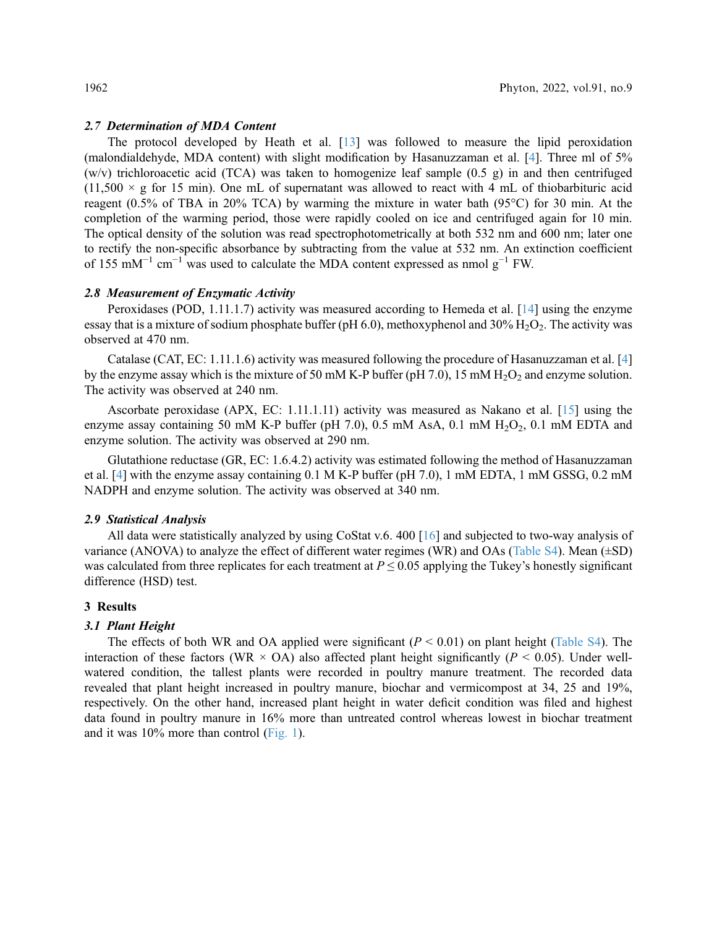### 2.7 Determination of MDA Content

The protocol developed by Heath et al. [\[13\]](#page-11-3) was followed to measure the lipid peroxidation (malondialdehyde, MDA content) with slight modification by Hasanuzzaman et al. [[4](#page-10-3)]. Three ml of 5%  $(w/v)$  trichloroacetic acid (TCA) was taken to homogenize leaf sample (0.5 g) in and then centrifuged  $(11,500 \times g)$  for 15 min). One mL of supernatant was allowed to react with 4 mL of thiobarbituric acid reagent (0.5% of TBA in 20% TCA) by warming the mixture in water bath (95°C) for 30 min. At the completion of the warming period, those were rapidly cooled on ice and centrifuged again for 10 min. The optical density of the solution was read spectrophotometrically at both 532 nm and 600 nm; later one to rectify the non-specific absorbance by subtracting from the value at 532 nm. An extinction coefficient of 155 mM<sup>-1</sup> cm<sup>-1</sup> was used to calculate the MDA content expressed as nmol  $g^{-1}$  FW.

# 2.8 Measurement of Enzymatic Activity

Peroxidases (POD, 1.11.1.7) activity was measured according to Hemeda et al. [\[14](#page-11-4)] using the enzyme essay that is a mixture of sodium phosphate buffer (pH 6.0), methoxyphenol and  $30\%$  H<sub>2</sub>O<sub>2</sub>. The activity was observed at 470 nm.

Catalase (CAT, EC: 1.11.1.6) activity was measured following the procedure of Hasanuzzaman et al. [\[4\]](#page-10-3) by the enzyme assay which is the mixture of 50 mM K-P buffer (pH 7.0), 15 mM  $H_2O_2$  and enzyme solution. The activity was observed at 240 nm.

Ascorbate peroxidase (APX, EC: 1.11.1.11) activity was measured as Nakano et al. [[15\]](#page-11-5) using the enzyme assay containing 50 mM K-P buffer (pH 7.0), 0.5 mM AsA, 0.1 mM  $H<sub>2</sub>O<sub>2</sub>$ , 0.1 mM EDTA and enzyme solution. The activity was observed at 290 nm.

Glutathione reductase (GR, EC: 1.6.4.2) activity was estimated following the method of Hasanuzzaman et al. [\[4\]](#page-10-3) with the enzyme assay containing 0.1 M K-P buffer (pH 7.0), 1 mM EDTA, 1 mM GSSG, 0.2 mM NADPH and enzyme solution. The activity was observed at 340 nm.

#### 2.9 Statistical Analysis

All data were statistically analyzed by using CoStat v.6. 400 [\[16](#page-11-6)] and subjected to two-way analysis of variance (ANOVA) to analyze the effect of different water regimes (WR) and OAs [\(Table S4](#page-13-0)). Mean (±SD) was calculated from three replicates for each treatment at  $P \le 0.05$  applying the Tukey's honestly significant difference (HSD) test.

### 3 Results

### 3.1 Plant Height

The effects of both WR and OA applied were significant  $(P < 0.01)$  on plant height [\(Table S4](#page-13-0)). The interaction of these factors (WR  $\times$  OA) also affected plant height significantly ( $P \le 0.05$ ). Under wellwatered condition, the tallest plants were recorded in poultry manure treatment. The recorded data revealed that plant height increased in poultry manure, biochar and vermicompost at 34, 25 and 19%, respectively. On the other hand, increased plant height in water deficit condition was filed and highest data found in poultry manure in 16% more than untreated control whereas lowest in biochar treatment and it was 10% more than control ([Fig. 1\)](#page-4-0).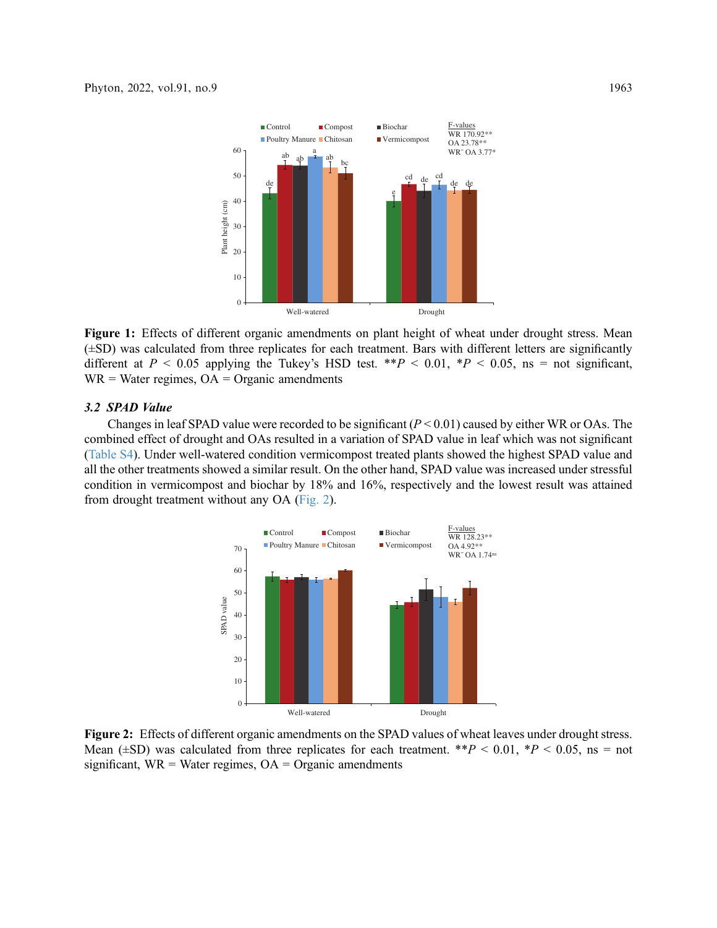<span id="page-4-0"></span>

Figure 1: Effects of different organic amendments on plant height of wheat under drought stress. Mean (±SD) was calculated from three replicates for each treatment. Bars with different letters are significantly different at  $P < 0.05$  applying the Tukey's HSD test. \*\* $P < 0.01$ , \* $P < 0.05$ , ns = not significant,  $WR = Water$  regimes,  $OA = Organic$  amendments

# 3.2 SPAD Value

<span id="page-4-1"></span>Changes in leaf SPAD value were recorded to be significant  $(P < 0.01)$  caused by either WR or OAs. The combined effect of drought and OAs resulted in a variation of SPAD value in leaf which was not significant ([Table S4\)](#page-13-0). Under well-watered condition vermicompost treated plants showed the highest SPAD value and all the other treatments showed a similar result. On the other hand, SPAD value was increased under stressful condition in vermicompost and biochar by 18% and 16%, respectively and the lowest result was attained from drought treatment without any OA [\(Fig. 2](#page-4-1)).



Figure 2: Effects of different organic amendments on the SPAD values of wheat leaves under drought stress. Mean ( $\pm$ SD) was calculated from three replicates for each treatment. \*\*P < 0.01, \*P < 0.05, ns = not significant,  $WR = Water$  regimes,  $OA = Organic$  amendments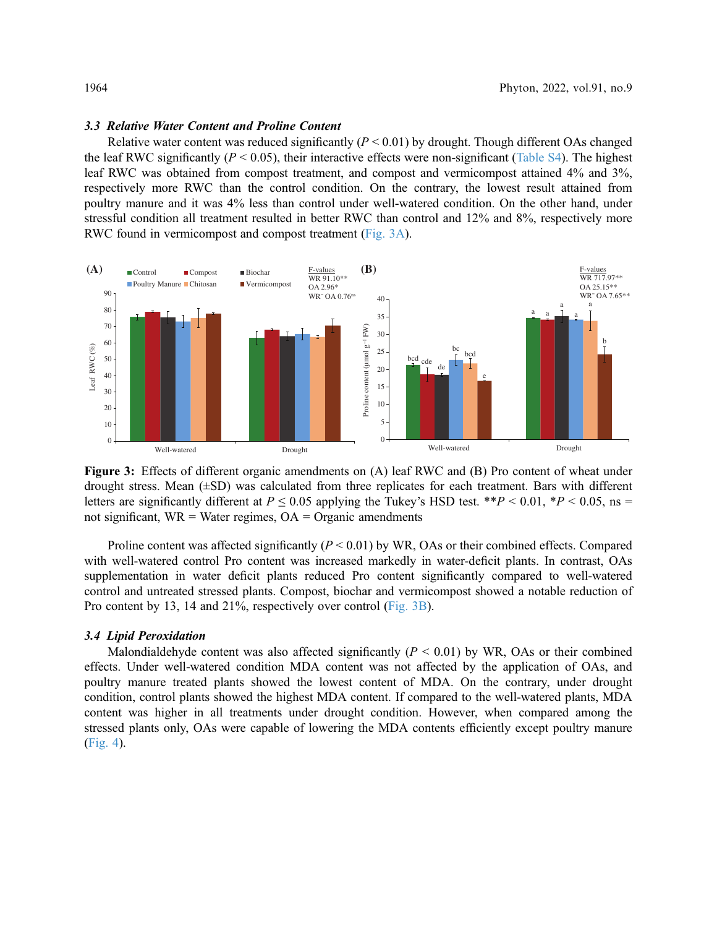#### 3.3 Relative Water Content and Proline Content

Relative water content was reduced significantly  $(P < 0.01)$  by drought. Though different OAs changed the leaf RWC significantly ( $P < 0.05$ ), their interactive effects were non-significant ([Table S4\)](#page-13-0). The highest leaf RWC was obtained from compost treatment, and compost and vermicompost attained 4% and 3%, respectively more RWC than the control condition. On the contrary, the lowest result attained from poultry manure and it was 4% less than control under well-watered condition. On the other hand, under stressful condition all treatment resulted in better RWC than control and 12% and 8%, respectively more RWC found in vermicompost and compost treatment ([Fig. 3A\)](#page-5-0).

<span id="page-5-0"></span>

Figure 3: Effects of different organic amendments on (A) leaf RWC and (B) Pro content of wheat under drought stress. Mean (±SD) was calculated from three replicates for each treatment. Bars with different letters are significantly different at  $P \le 0.05$  applying the Tukey's HSD test. \*\* $P < 0.01$ , \* $P < 0.05$ , ns = not significant,  $WR = Water$  regimes,  $OA = O$  reganic amendments

Proline content was affected significantly ( $P < 0.01$ ) by WR, OAs or their combined effects. Compared with well-watered control Pro content was increased markedly in water-deficit plants. In contrast, OAs supplementation in water deficit plants reduced Pro content significantly compared to well-watered control and untreated stressed plants. Compost, biochar and vermicompost showed a notable reduction of Pro content by 13, 14 and 21%, respectively over control ([Fig. 3B\)](#page-5-0).

# 3.4 Lipid Peroxidation

Malondialdehyde content was also affected significantly  $(P < 0.01)$  by WR, OAs or their combined effects. Under well-watered condition MDA content was not affected by the application of OAs, and poultry manure treated plants showed the lowest content of MDA. On the contrary, under drought condition, control plants showed the highest MDA content. If compared to the well-watered plants, MDA content was higher in all treatments under drought condition. However, when compared among the stressed plants only, OAs were capable of lowering the MDA contents efficiently except poultry manure ([Fig. 4\)](#page-6-0).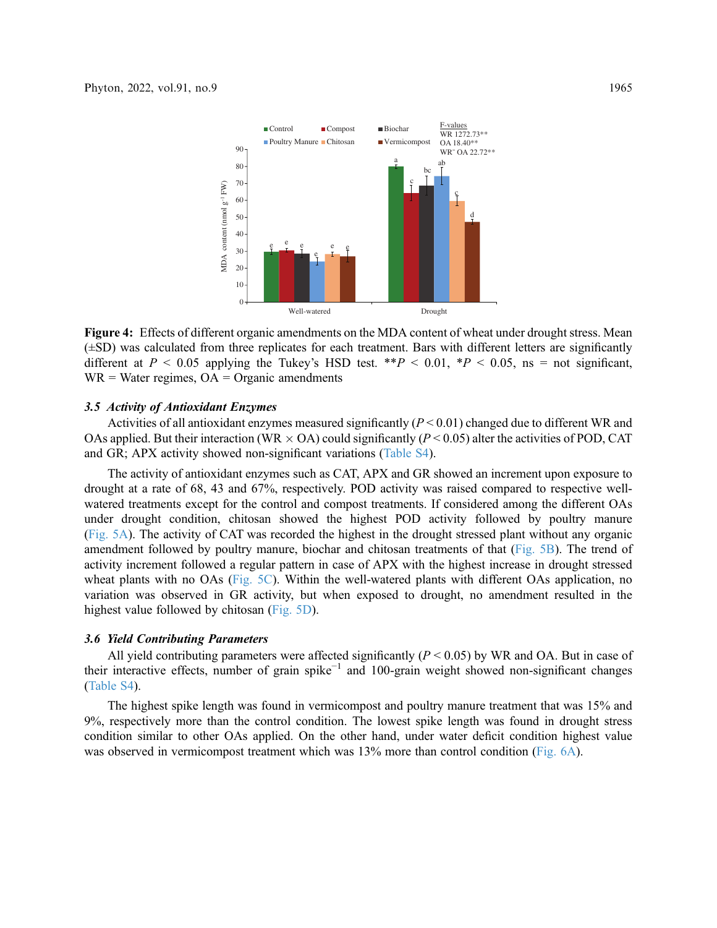<span id="page-6-0"></span>

Figure 4: Effects of different organic amendments on the MDA content of wheat under drought stress. Mean (±SD) was calculated from three replicates for each treatment. Bars with different letters are significantly different at  $P < 0.05$  applying the Tukey's HSD test. \*\* $P < 0.01$ , \* $P < 0.05$ , ns = not significant,  $WR = Water$  regimes,  $OA = Organic$  amendments

### 3.5 Activity of Antioxidant Enzymes

Activities of all antioxidant enzymes measured significantly  $(P < 0.01)$  changed due to different WR and OAs applied. But their interaction (WR  $\times$  OA) could significantly (P < 0.05) alter the activities of POD, CAT and GR; APX activity showed non-significant variations ([Table S4](#page-13-0)).

The activity of antioxidant enzymes such as CAT, APX and GR showed an increment upon exposure to drought at a rate of 68, 43 and 67%, respectively. POD activity was raised compared to respective wellwatered treatments except for the control and compost treatments. If considered among the different OAs under drought condition, chitosan showed the highest POD activity followed by poultry manure ([Fig. 5A](#page-7-0)). The activity of CAT was recorded the highest in the drought stressed plant without any organic amendment followed by poultry manure, biochar and chitosan treatments of that ([Fig. 5B\)](#page-7-0). The trend of activity increment followed a regular pattern in case of APX with the highest increase in drought stressed wheat plants with no OAs ([Fig. 5C\)](#page-7-0). Within the well-watered plants with different OAs application, no variation was observed in GR activity, but when exposed to drought, no amendment resulted in the highest value followed by chitosan [\(Fig. 5D](#page-7-0)).

#### 3.6 Yield Contributing Parameters

All yield contributing parameters were affected significantly ( $P < 0.05$ ) by WR and OA. But in case of their interactive effects, number of grain spike−<sup>1</sup> and 100-grain weight showed non-significant changes ([Table S4](#page-13-0)).

The highest spike length was found in vermicompost and poultry manure treatment that was 15% and 9%, respectively more than the control condition. The lowest spike length was found in drought stress condition similar to other OAs applied. On the other hand, under water deficit condition highest value was observed in vermicompost treatment which was  $13\%$  more than control condition [\(Fig. 6A](#page-8-0)).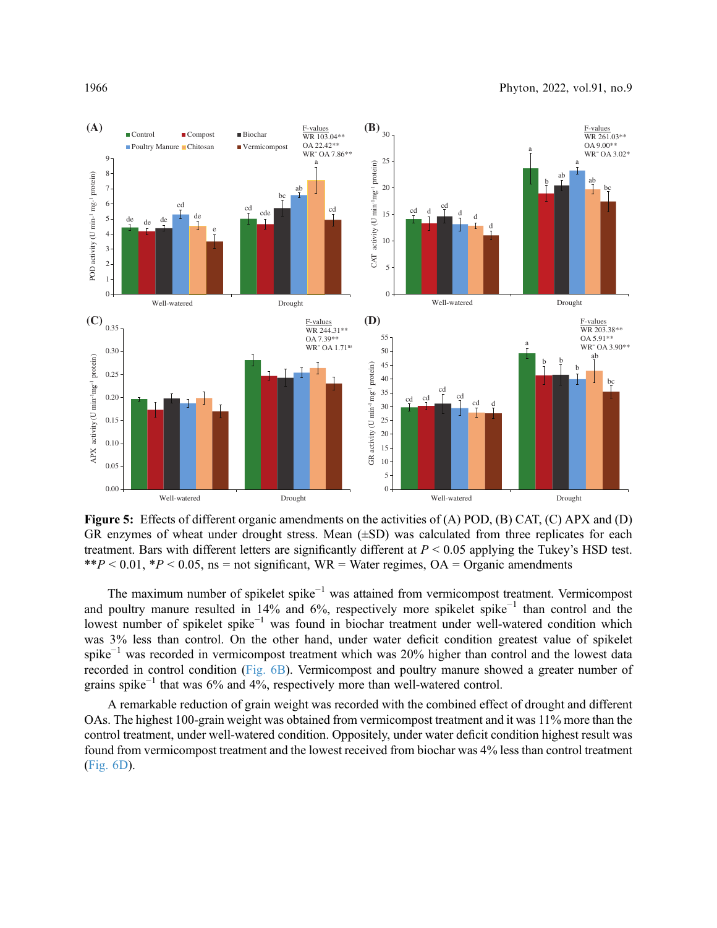<span id="page-7-0"></span>

Figure 5: Effects of different organic amendments on the activities of (A) POD, (B) CAT, (C) APX and (D) GR enzymes of wheat under drought stress. Mean (±SD) was calculated from three replicates for each treatment. Bars with different letters are significantly different at  $P < 0.05$  applying the Tukey's HSD test. \*\*P < 0.01, \*P < 0.05, ns = not significant, WR = Water regimes, OA = Organic amendments

The maximum number of spikelet spike<sup>-1</sup> was attained from vermicompost treatment. Vermicompost and poultry manure resulted in 14% and 6%, respectively more spikelet spike−<sup>1</sup> than control and the lowest number of spikelet spike−<sup>1</sup> was found in biochar treatment under well-watered condition which was 3% less than control. On the other hand, under water deficit condition greatest value of spikelet spike<sup>-1</sup> was recorded in vermicompost treatment which was 20% higher than control and the lowest data recorded in control condition ([Fig. 6B](#page-8-0)). Vermicompost and poultry manure showed a greater number of grains spike<sup> $-1$ </sup> that was 6% and 4%, respectively more than well-watered control.

A remarkable reduction of grain weight was recorded with the combined effect of drought and different OAs. The highest 100-grain weight was obtained from vermicompost treatment and it was 11% more than the control treatment, under well-watered condition. Oppositely, under water deficit condition highest result was found from vermicompost treatment and the lowest received from biochar was 4% less than control treatment ([Fig. 6D](#page-8-0)).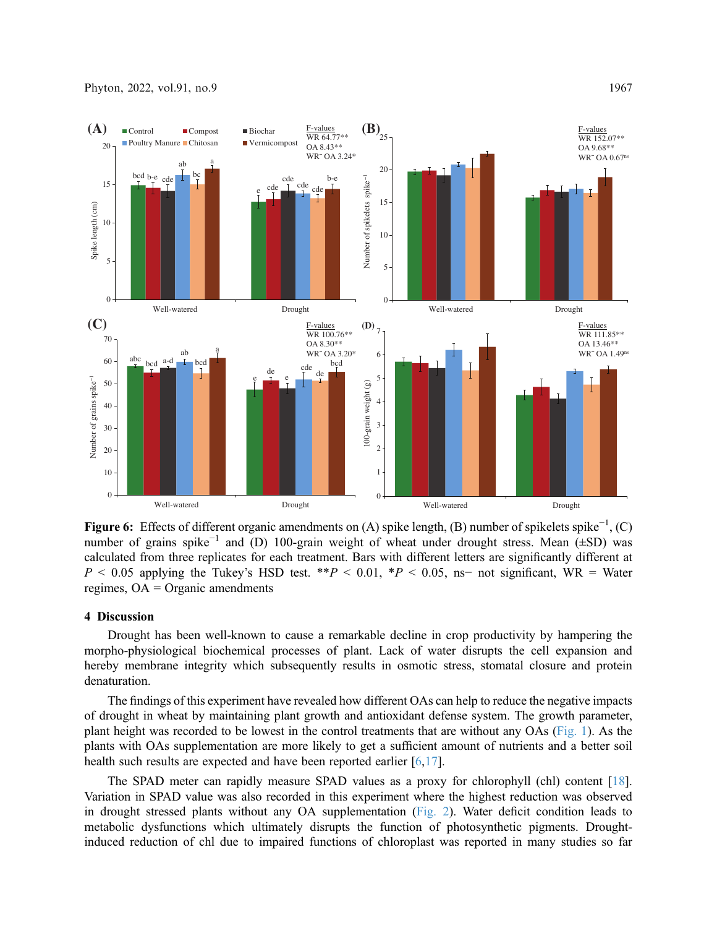<span id="page-8-0"></span>

Figure 6: Effects of different organic amendments on (A) spike length, (B) number of spikelets spike<sup>-1</sup>, (C) number of grains spike<sup>-1</sup> and (D) 100-grain weight of wheat under drought stress. Mean ( $\pm$ SD) was calculated from three replicates for each treatment. Bars with different letters are significantly different at  $P \le 0.05$  applying the Tukey's HSD test. \*\* $P \le 0.01$ , \* $P \le 0.05$ , ns– not significant, WR = Water regimes, OA = Organic amendments

# 4 Discussion

Drought has been well-known to cause a remarkable decline in crop productivity by hampering the morpho-physiological biochemical processes of plant. Lack of water disrupts the cell expansion and hereby membrane integrity which subsequently results in osmotic stress, stomatal closure and protein denaturation.

The findings of this experiment have revealed how different OAs can help to reduce the negative impacts of drought in wheat by maintaining plant growth and antioxidant defense system. The growth parameter, plant height was recorded to be lowest in the control treatments that are without any OAs ([Fig. 1\)](#page-4-0). As the plants with OAs supplementation are more likely to get a sufficient amount of nutrients and a better soil health such results are expected and have been reported earlier [[6](#page-10-5),[17\]](#page-11-7).

The SPAD meter can rapidly measure SPAD values as a proxy for chlorophyll (chl) content [[18\]](#page-11-8). Variation in SPAD value was also recorded in this experiment where the highest reduction was observed in drought stressed plants without any OA supplementation ([Fig. 2\)](#page-4-1). Water deficit condition leads to metabolic dysfunctions which ultimately disrupts the function of photosynthetic pigments. Droughtinduced reduction of chl due to impaired functions of chloroplast was reported in many studies so far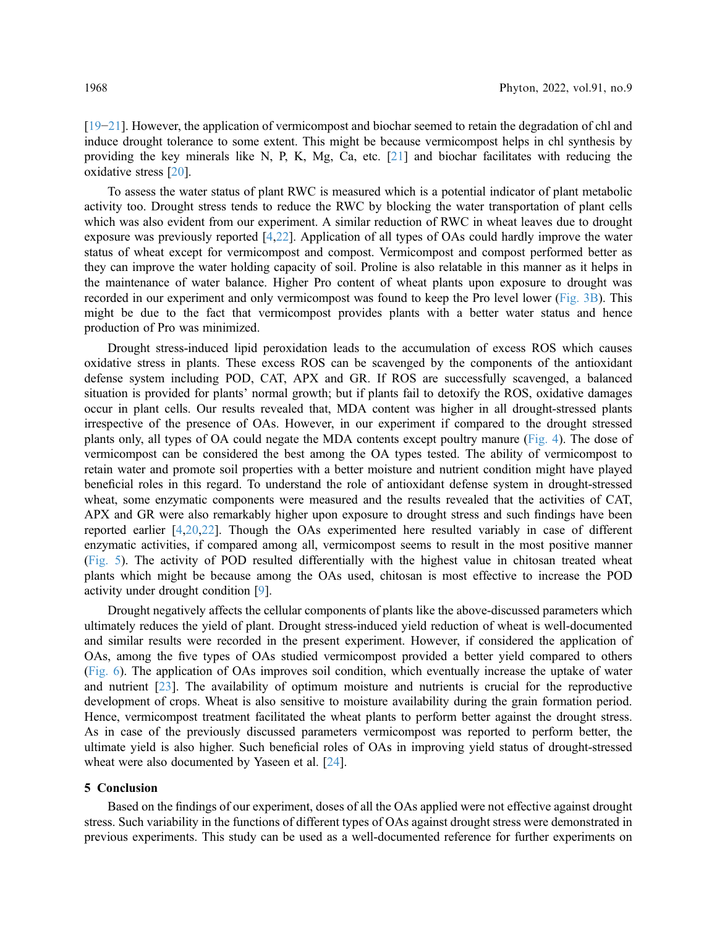[[19](#page-11-9)−[21\]](#page-11-10). However, the application of vermicompost and biochar seemed to retain the degradation of chl and induce drought tolerance to some extent. This might be because vermicompost helps in chl synthesis by providing the key minerals like N, P, K, Mg, Ca, etc. [\[21](#page-11-10)] and biochar facilitates with reducing the oxidative stress [\[20](#page-11-11)].

To assess the water status of plant RWC is measured which is a potential indicator of plant metabolic activity too. Drought stress tends to reduce the RWC by blocking the water transportation of plant cells which was also evident from our experiment. A similar reduction of RWC in wheat leaves due to drought exposure was previously reported [[4](#page-10-3),[22\]](#page-11-12). Application of all types of OAs could hardly improve the water status of wheat except for vermicompost and compost. Vermicompost and compost performed better as they can improve the water holding capacity of soil. Proline is also relatable in this manner as it helps in the maintenance of water balance. Higher Pro content of wheat plants upon exposure to drought was recorded in our experiment and only vermicompost was found to keep the Pro level lower ([Fig. 3B](#page-5-0)). This might be due to the fact that vermicompost provides plants with a better water status and hence production of Pro was minimized.

Drought stress-induced lipid peroxidation leads to the accumulation of excess ROS which causes oxidative stress in plants. These excess ROS can be scavenged by the components of the antioxidant defense system including POD, CAT, APX and GR. If ROS are successfully scavenged, a balanced situation is provided for plants' normal growth; but if plants fail to detoxify the ROS, oxidative damages occur in plant cells. Our results revealed that, MDA content was higher in all drought-stressed plants irrespective of the presence of OAs. However, in our experiment if compared to the drought stressed plants only, all types of OA could negate the MDA contents except poultry manure ([Fig. 4](#page-6-0)). The dose of vermicompost can be considered the best among the OA types tested. The ability of vermicompost to retain water and promote soil properties with a better moisture and nutrient condition might have played beneficial roles in this regard. To understand the role of antioxidant defense system in drought-stressed wheat, some enzymatic components were measured and the results revealed that the activities of CAT, APX and GR were also remarkably higher upon exposure to drought stress and such findings have been reported earlier [\[4,](#page-10-3)[20,](#page-11-11)[22](#page-11-12)]. Though the OAs experimented here resulted variably in case of different enzymatic activities, if compared among all, vermicompost seems to result in the most positive manner ([Fig. 5](#page-7-0)). The activity of POD resulted differentially with the highest value in chitosan treated wheat plants which might be because among the OAs used, chitosan is most effective to increase the POD activity under drought condition [[9](#page-10-8)].

Drought negatively affects the cellular components of plants like the above-discussed parameters which ultimately reduces the yield of plant. Drought stress-induced yield reduction of wheat is well-documented and similar results were recorded in the present experiment. However, if considered the application of OAs, among the five types of OAs studied vermicompost provided a better yield compared to others ([Fig. 6](#page-8-0)). The application of OAs improves soil condition, which eventually increase the uptake of water and nutrient [[23\]](#page-11-13). The availability of optimum moisture and nutrients is crucial for the reproductive development of crops. Wheat is also sensitive to moisture availability during the grain formation period. Hence, vermicompost treatment facilitated the wheat plants to perform better against the drought stress. As in case of the previously discussed parameters vermicompost was reported to perform better, the ultimate yield is also higher. Such beneficial roles of OAs in improving yield status of drought-stressed wheat were also documented by Yaseen et al. [\[24](#page-11-14)].

## 5 Conclusion

Based on the findings of our experiment, doses of all the OAs applied were not effective against drought stress. Such variability in the functions of different types of OAs against drought stress were demonstrated in previous experiments. This study can be used as a well-documented reference for further experiments on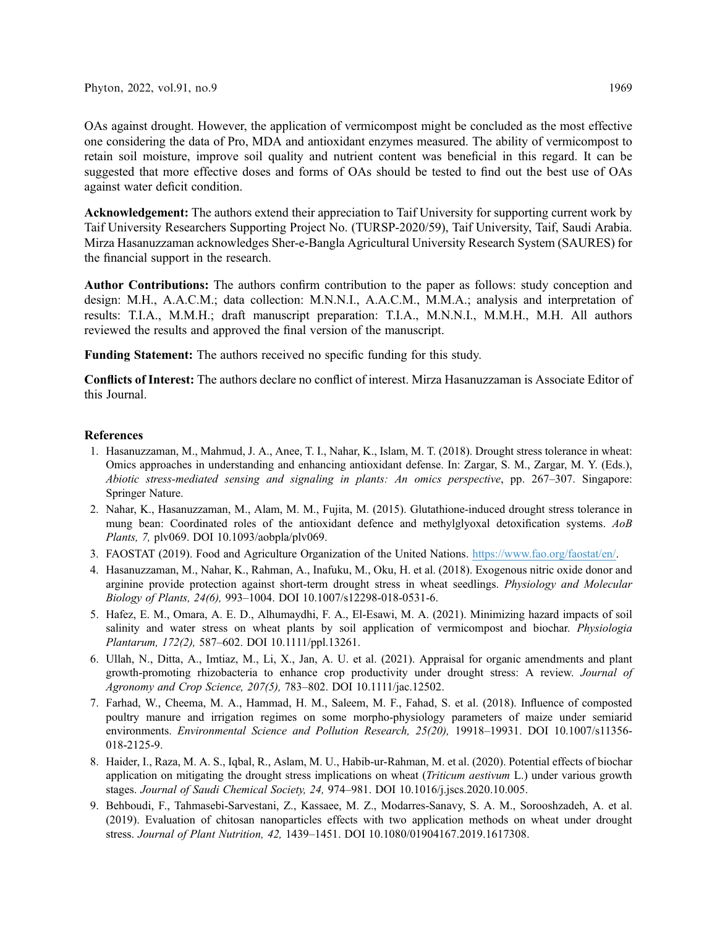OAs against drought. However, the application of vermicompost might be concluded as the most effective one considering the data of Pro, MDA and antioxidant enzymes measured. The ability of vermicompost to retain soil moisture, improve soil quality and nutrient content was beneficial in this regard. It can be suggested that more effective doses and forms of OAs should be tested to find out the best use of OAs against water deficit condition.

Acknowledgement: The authors extend their appreciation to Taif University for supporting current work by Taif University Researchers Supporting Project No. (TURSP-2020/59), Taif University, Taif, Saudi Arabia. Mirza Hasanuzzaman acknowledges Sher-e-Bangla Agricultural University Research System (SAURES) for the financial support in the research.

Author Contributions: The authors confirm contribution to the paper as follows: study conception and design: M.H., A.A.C.M.; data collection: M.N.N.I., A.A.C.M., M.M.A.; analysis and interpretation of results: T.I.A., M.M.H.; draft manuscript preparation: T.I.A., M.N.N.I., M.M.H., M.H. All authors reviewed the results and approved the final version of the manuscript.

Funding Statement: The authors received no specific funding for this study.

Conflicts of Interest: The authors declare no conflict of interest. Mirza Hasanuzzaman is Associate Editor of this Journal.

# References

- <span id="page-10-0"></span>1. Hasanuzzaman, M., Mahmud, J. A., Anee, T. I., Nahar, K., Islam, M. T. (2018). Drought stress tolerance in wheat: Omics approaches in understanding and enhancing antioxidant defense. In: Zargar, S. M., Zargar, M. Y. (Eds.), Abiotic stress-mediated sensing and signaling in plants: An omics perspective, pp. 267–307. Singapore: Springer Nature.
- <span id="page-10-1"></span>2. Nahar, K., Hasanuzzaman, M., Alam, M. M., Fujita, M. (2015). Glutathione-induced drought stress tolerance in mung bean: Coordinated roles of the antioxidant defence and methylglyoxal detoxification systems. AoB Plants, 7, plv069. DOI [10.1093/aobpla/plv069](http://dx.doi.org/10.1093/aobpla/plv069).
- <span id="page-10-2"></span>3. FAOSTAT (2019). Food and Agriculture Organization of the United Nations. <https://www.fao.org/faostat/en/>.
- <span id="page-10-3"></span>4. Hasanuzzaman, M., Nahar, K., Rahman, A., Inafuku, M., Oku, H. et al. (2018). Exogenous nitric oxide donor and arginine provide protection against short-term drought stress in wheat seedlings. Physiology and Molecular Biology of Plants, 24(6), 993–1004. DOI [10.1007/s12298-018-0531-6](http://dx.doi.org/10.1007/s12298-018-0531-6).
- <span id="page-10-4"></span>5. Hafez, E. M., Omara, A. E. D., Alhumaydhi, F. A., El-Esawi, M. A. (2021). Minimizing hazard impacts of soil salinity and water stress on wheat plants by soil application of vermicompost and biochar. *Physiologia* Plantarum, 172(2), 587–602. DOI [10.1111/ppl.13261.](http://dx.doi.org/10.1111/ppl.13261)
- <span id="page-10-5"></span>6. Ullah, N., Ditta, A., Imtiaz, M., Li, X., Jan, A. U. et al. (2021). Appraisal for organic amendments and plant growth-promoting rhizobacteria to enhance crop productivity under drought stress: A review. Journal of Agronomy and Crop Science, 207(5), 783–802. DOI [10.1111/jac.12502](http://dx.doi.org/10.1111/jac.12502).
- <span id="page-10-6"></span>7. Farhad, W., Cheema, M. A., Hammad, H. M., Saleem, M. F., Fahad, S. et al. (2018). Influence of composted poultry manure and irrigation regimes on some morpho-physiology parameters of maize under semiarid environments. Environmental Science and Pollution Research, 25(20), 19918–19931. DOI [10.1007/s11356-](http://dx.doi.org/10.1007/s11356-018-2125-9) [018-2125-9.](http://dx.doi.org/10.1007/s11356-018-2125-9)
- <span id="page-10-7"></span>8. Haider, I., Raza, M. A. S., Iqbal, R., Aslam, M. U., Habib-ur-Rahman, M. et al. (2020). Potential effects of biochar application on mitigating the drought stress implications on wheat (*Triticum aestivum* L.) under various growth stages. Journal of Saudi Chemical Society, 24, 974–981. DOI [10.1016/j.jscs.2020.10.005.](http://dx.doi.org/10.1016/j.jscs.2020.10.005)
- <span id="page-10-8"></span>9. Behboudi, F., Tahmasebi-Sarvestani, Z., Kassaee, M. Z., Modarres-Sanavy, S. A. M., Sorooshzadeh, A. et al. (2019). Evaluation of chitosan nanoparticles effects with two application methods on wheat under drought stress. Journal of Plant Nutrition, 42, 1439–1451. DOI [10.1080/01904167.2019.1617308.](http://dx.doi.org/10.1080/01904167.2019.1617308)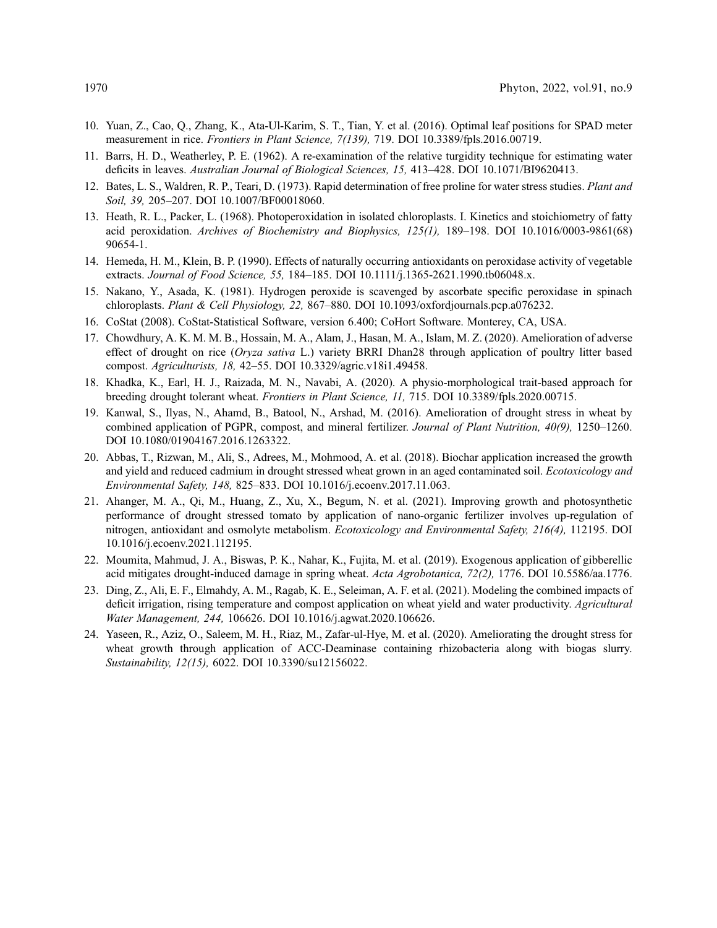- <span id="page-11-0"></span>10. Yuan, Z., Cao, Q., Zhang, K., Ata-Ul-Karim, S. T., Tian, Y. et al. (2016). Optimal leaf positions for SPAD meter measurement in rice. Frontiers in Plant Science, 7(139), 719. DOI [10.3389/fpls.2016.00719](http://dx.doi.org/10.3389/fpls.2016.00719).
- <span id="page-11-1"></span>11. Barrs, H. D., Weatherley, P. E. (1962). A re-examination of the relative turgidity technique for estimating water deficits in leaves. Australian Journal of Biological Sciences, 15, 413–428. DOI [10.1071/BI9620413.](http://dx.doi.org/10.1071/BI9620413)
- <span id="page-11-2"></span>12. Bates, L. S., Waldren, R. P., Teari, D. (1973). Rapid determination of free proline for water stress studies. Plant and Soil, 39, 205–207. DOI [10.1007/BF00018060.](http://dx.doi.org/10.1007/BF00018060)
- <span id="page-11-3"></span>13. Heath, R. L., Packer, L. (1968). Photoperoxidation in isolated chloroplasts. I. Kinetics and stoichiometry of fatty acid peroxidation. Archives of Biochemistry and Biophysics, 125(1), 189–198. DOI [10.1016/0003-9861\(68\)](http://dx.doi.org/10.1016/0003-9861(68)90654-1) [90654-1.](http://dx.doi.org/10.1016/0003-9861(68)90654-1)
- <span id="page-11-4"></span>14. Hemeda, H. M., Klein, B. P. (1990). Effects of naturally occurring antioxidants on peroxidase activity of vegetable extracts. Journal of Food Science, 55, 184-185. DOI [10.1111/j.1365-2621.1990.tb06048.x.](http://dx.doi.org/10.1111/j.1365-2621.1990.tb06048.x)
- <span id="page-11-5"></span>15. Nakano, Y., Asada, K. (1981). Hydrogen peroxide is scavenged by ascorbate specific peroxidase in spinach chloroplasts. Plant & Cell Physiology, 22, 867–880. DOI [10.1093/oxfordjournals.pcp.a076232.](http://dx.doi.org/10.1093/oxfordjournals.pcp.a076232)
- <span id="page-11-6"></span>16. CoStat (2008). CoStat-Statistical Software, version 6.400; CoHort Software. Monterey, CA, USA.
- <span id="page-11-7"></span>17. Chowdhury, A. K. M. M. B., Hossain, M. A., Alam, J., Hasan, M. A., Islam, M. Z. (2020). Amelioration of adverse effect of drought on rice (Oryza sativa L.) variety BRRI Dhan28 through application of poultry litter based compost. Agriculturists, 18, 42–55. DOI [10.3329/agric.v18i1.49458](http://dx.doi.org/10.3329/agric.v18i1.49458).
- <span id="page-11-8"></span>18. Khadka, K., Earl, H. J., Raizada, M. N., Navabi, A. (2020). A physio-morphological trait-based approach for breeding drought tolerant wheat. Frontiers in Plant Science, 11, 715. DOI [10.3389/fpls.2020.00715](http://dx.doi.org/10.3389/fpls.2020.00715).
- <span id="page-11-9"></span>19. Kanwal, S., Ilyas, N., Ahamd, B., Batool, N., Arshad, M. (2016). Amelioration of drought stress in wheat by combined application of PGPR, compost, and mineral fertilizer. Journal of Plant Nutrition, 40(9), 1250–1260. DOI [10.1080/01904167.2016.1263322.](http://dx.doi.org/10.1080/01904167.2016.1263322)
- <span id="page-11-11"></span>20. Abbas, T., Rizwan, M., Ali, S., Adrees, M., Mohmood, A. et al. (2018). Biochar application increased the growth and yield and reduced cadmium in drought stressed wheat grown in an aged contaminated soil. Ecotoxicology and Environmental Safety, 148, 825–833. DOI [10.1016/j.ecoenv.2017.11.063](http://dx.doi.org/10.1016/j.ecoenv.2017.11.063).
- <span id="page-11-10"></span>21. Ahanger, M. A., Qi, M., Huang, Z., Xu, X., Begum, N. et al. (2021). Improving growth and photosynthetic performance of drought stressed tomato by application of nano-organic fertilizer involves up-regulation of nitrogen, antioxidant and osmolyte metabolism. Ecotoxicology and Environmental Safety, 216(4), 112195. DOI [10.1016/j.ecoenv.2021.112195.](http://dx.doi.org/10.1016/j.ecoenv.2021.112195)
- <span id="page-11-12"></span>22. Moumita, Mahmud, J. A., Biswas, P. K., Nahar, K., Fujita, M. et al. (2019). Exogenous application of gibberellic acid mitigates drought-induced damage in spring wheat. Acta Agrobotanica, 72(2), 1776. DOI [10.5586/aa.1776.](http://dx.doi.org/10.5586/aa.1776)
- <span id="page-11-13"></span>23. Ding, Z., Ali, E. F., Elmahdy, A. M., Ragab, K. E., Seleiman, A. F. et al. (2021). Modeling the combined impacts of deficit irrigation, rising temperature and compost application on wheat yield and water productivity. Agricultural Water Management, 244, 106626. DOI [10.1016/j.agwat.2020.106626](http://dx.doi.org/10.1016/j.agwat.2020.106626).
- <span id="page-11-14"></span>24. Yaseen, R., Aziz, O., Saleem, M. H., Riaz, M., Zafar-ul-Hye, M. et al. (2020). Ameliorating the drought stress for wheat growth through application of ACC-Deaminase containing rhizobacteria along with biogas slurry. Sustainability, 12(15), 6022. DOI [10.3390/su12156022.](http://dx.doi.org/10.3390/su12156022)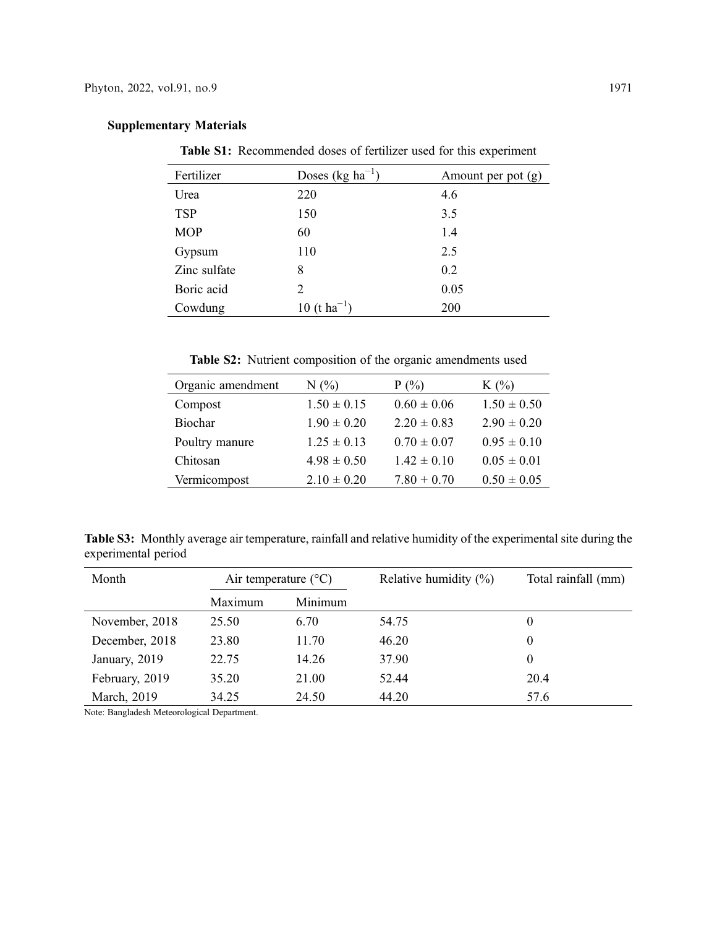|  | <b>Supplementary Materials</b> |  |
|--|--------------------------------|--|
|--|--------------------------------|--|

<span id="page-12-0"></span>Table S1: Recommended doses of fertilizer used for this experiment

| Fertilizer   | Doses (kg $ha^{-1}$ ) | Amount per pot (g) |
|--------------|-----------------------|--------------------|
| Urea         | 220                   | 4.6                |
| <b>TSP</b>   | 150                   | 3.5                |
| <b>MOP</b>   | 60                    | 1.4                |
| Gypsum       | 110                   | 2.5                |
| Zinc sulfate | 8                     | 0.2                |
| Boric acid   | 2                     | 0.05               |
| Cowdung      | $(t \, ha^{-1})$      | 200                |

Table S2: Nutrient composition of the organic amendments used

<span id="page-12-1"></span>

| Organic amendment | N(%)            | $P(\%)$         | $K(\%)$         |
|-------------------|-----------------|-----------------|-----------------|
| Compost           | $1.50 \pm 0.15$ | $0.60 \pm 0.06$ | $1.50 \pm 0.50$ |
| Biochar           | $1.90 \pm 0.20$ | $2.20 \pm 0.83$ | $2.90 \pm 0.20$ |
| Poultry manure    | $1.25 \pm 0.13$ | $0.70 \pm 0.07$ | $0.95 \pm 0.10$ |
| Chitosan          | $4.98 \pm 0.50$ | $1.42 \pm 0.10$ | $0.05 \pm 0.01$ |
| Vermicompost      | $2.10 \pm 0.20$ | $7.80 + 0.70$   | $0.50 \pm 0.05$ |

<span id="page-12-2"></span>Table S3: Monthly average air temperature, rainfall and relative humidity of the experimental site during the experimental period

| Month          | Air temperature $(^{\circ}C)$ |         | Relative humidity $(\%)$ | Total rainfall (mm) |
|----------------|-------------------------------|---------|--------------------------|---------------------|
|                | Maximum                       | Minimum |                          |                     |
| November, 2018 | 25.50                         | 6.70    | 54.75                    | $\theta$            |
| December, 2018 | 23.80                         | 11.70   | 46.20                    | 0                   |
| January, 2019  | 22.75                         | 14.26   | 37.90                    | 0                   |
| February, 2019 | 35.20                         | 21.00   | 52.44                    | 20.4                |
| March, 2019    | 34.25                         | 24.50   | 44.20                    | 57.6                |

Note: Bangladesh Meteorological Department.